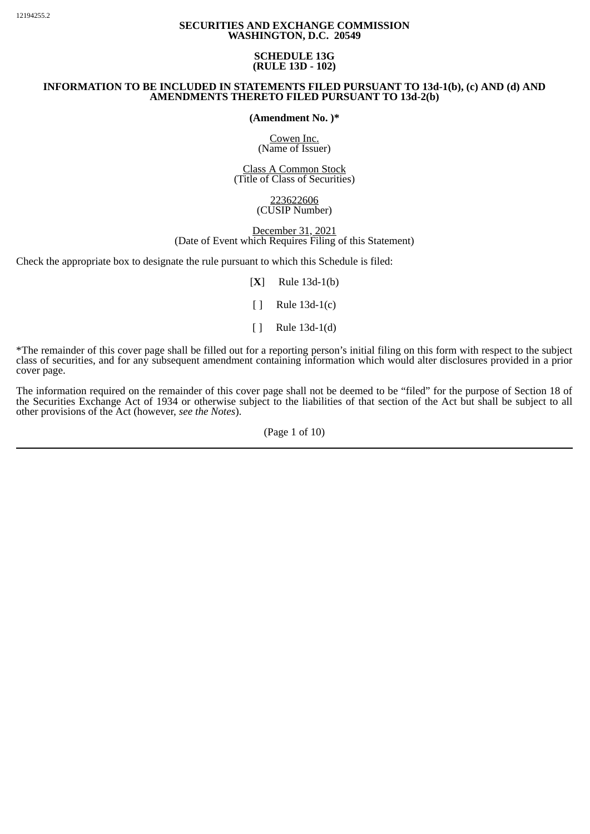## **SECURITIES AND EXCHANGE COMMISSION WASHINGTON, D.C. 20549**

## **SCHEDULE 13G (RULE 13D - 102)**

## **INFORMATION TO BE INCLUDED IN STATEMENTS FILED PURSUANT TO 13d-1(b), (c) AND (d) AND AMENDMENTS THERETO FILED PURSUANT TO 13d-2(b)**

**(Amendment No. )\***

Cowen Inc. (Name of Issuer)

Class A Common Stock (Title of Class of Securities)

> 223622606 (CUSIP Number)

December 31, 2021 (Date of Event which Requires Filing of this Statement)

Check the appropriate box to designate the rule pursuant to which this Schedule is filed:

[**X**] Rule 13d-1(b)

[ ] Rule 13d-1(c)

 $\lceil \cdot \rceil$  Rule 13d-1(d)

\*The remainder of this cover page shall be filled out for a reporting person's initial filing on this form with respect to the subject class of securities, and for any subsequent amendment containing information which would alter disclosures provided in a prior cover page.

The information required on the remainder of this cover page shall not be deemed to be "filed" for the purpose of Section 18 of the Securities Exchange Act of 1934 or otherwise subject to the liabilities of that section of the Act but shall be subject to all other provisions of the Act (however, *see the Notes*).

(Page 1 of 10)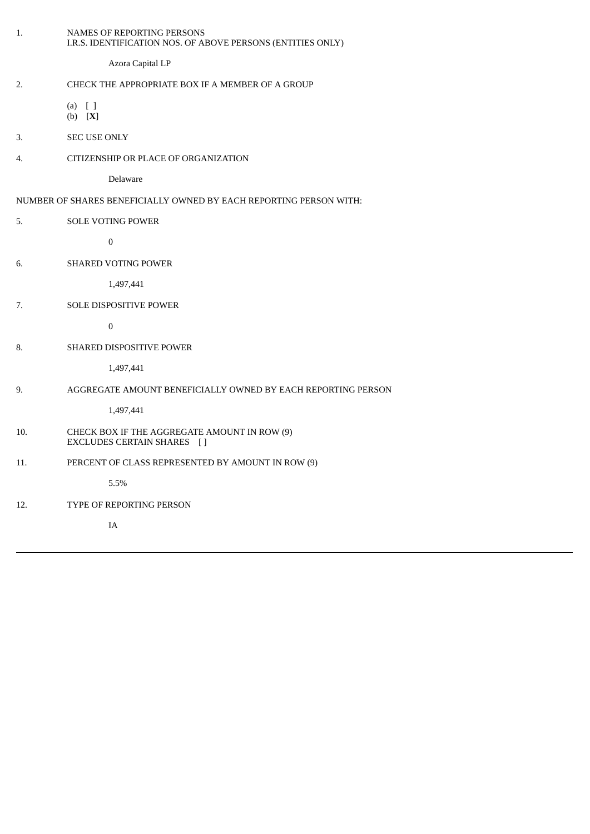| 1.  | NAMES OF REPORTING PERSONS<br>I.R.S. IDENTIFICATION NOS. OF ABOVE PERSONS (ENTITIES ONLY) |
|-----|-------------------------------------------------------------------------------------------|
|     | Azora Capital LP                                                                          |
| 2.  | CHECK THE APPROPRIATE BOX IF A MEMBER OF A GROUP                                          |
|     | $(a)$ []<br>$(b)$ [X]                                                                     |
| 3.  | <b>SEC USE ONLY</b>                                                                       |
| 4.  | CITIZENSHIP OR PLACE OF ORGANIZATION                                                      |
|     | Delaware                                                                                  |
|     | NUMBER OF SHARES BENEFICIALLY OWNED BY EACH REPORTING PERSON WITH:                        |
| 5.  | SOLE VOTING POWER                                                                         |
|     | $\boldsymbol{0}$                                                                          |
| 6.  | <b>SHARED VOTING POWER</b>                                                                |
|     | 1,497,441                                                                                 |
| 7.  | SOLE DISPOSITIVE POWER                                                                    |
|     | $\pmb{0}$                                                                                 |
| 8.  | SHARED DISPOSITIVE POWER                                                                  |
|     | 1,497,441                                                                                 |
| 9.  | AGGREGATE AMOUNT BENEFICIALLY OWNED BY EACH REPORTING PERSON                              |
|     | 1,497,441                                                                                 |
| 10. | CHECK BOX IF THE AGGREGATE AMOUNT IN ROW (9)<br>EXCLUDES CERTAIN SHARES []                |
| 11. | PERCENT OF CLASS REPRESENTED BY AMOUNT IN ROW (9)                                         |
|     | 5.5%                                                                                      |
| 12. | TYPE OF REPORTING PERSON                                                                  |
|     | $\rm IA$                                                                                  |
|     |                                                                                           |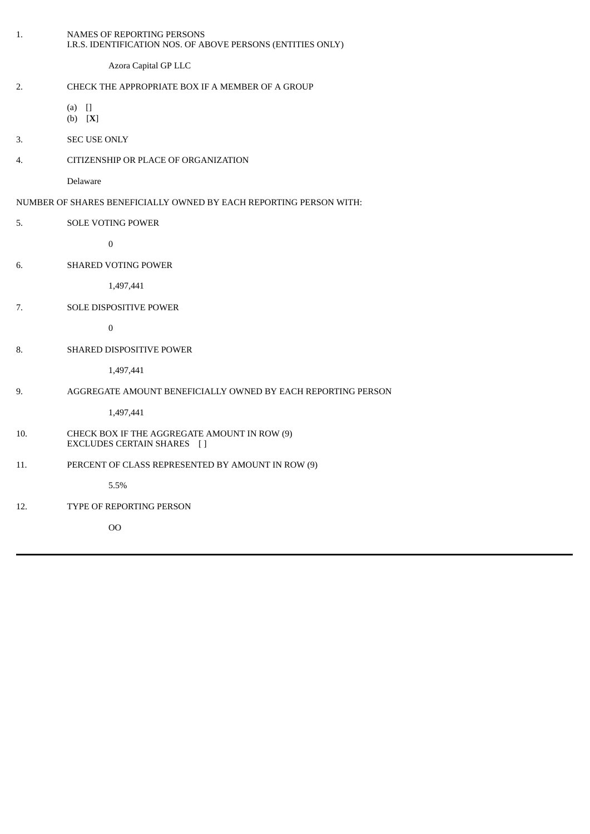|                                                                    | 1.  | <b>NAMES OF REPORTING PERSONS</b><br>I.R.S. IDENTIFICATION NOS. OF ABOVE PERSONS (ENTITIES ONLY) |  |
|--------------------------------------------------------------------|-----|--------------------------------------------------------------------------------------------------|--|
|                                                                    |     | Azora Capital GP LLC                                                                             |  |
|                                                                    | 2.  | CHECK THE APPROPRIATE BOX IF A MEMBER OF A GROUP                                                 |  |
|                                                                    |     | $(a)$ $[]$<br>(b) [X]                                                                            |  |
|                                                                    | 3.  | <b>SEC USE ONLY</b>                                                                              |  |
|                                                                    | 4.  | CITIZENSHIP OR PLACE OF ORGANIZATION                                                             |  |
|                                                                    |     | Delaware                                                                                         |  |
| NUMBER OF SHARES BENEFICIALLY OWNED BY EACH REPORTING PERSON WITH: |     |                                                                                                  |  |
|                                                                    | 5.  | <b>SOLE VOTING POWER</b>                                                                         |  |
|                                                                    |     | $\boldsymbol{0}$                                                                                 |  |
|                                                                    | 6.  | <b>SHARED VOTING POWER</b>                                                                       |  |
|                                                                    |     | 1,497,441                                                                                        |  |
|                                                                    | 7.  | <b>SOLE DISPOSITIVE POWER</b>                                                                    |  |
|                                                                    |     | $\boldsymbol{0}$                                                                                 |  |
|                                                                    | 8.  | <b>SHARED DISPOSITIVE POWER</b>                                                                  |  |
|                                                                    |     | 1,497,441                                                                                        |  |
|                                                                    | 9.  | AGGREGATE AMOUNT BENEFICIALLY OWNED BY EACH REPORTING PERSON                                     |  |
|                                                                    |     | 1,497,441                                                                                        |  |
|                                                                    | 10. | CHECK BOX IF THE AGGREGATE AMOUNT IN ROW (9)<br>EXCLUDES CERTAIN SHARES []                       |  |
|                                                                    | 11. | PERCENT OF CLASS REPRESENTED BY AMOUNT IN ROW (9)                                                |  |
|                                                                    |     | 5.5%                                                                                             |  |
|                                                                    | 12. | TYPE OF REPORTING PERSON                                                                         |  |
|                                                                    |     | <sub>OO</sub>                                                                                    |  |
|                                                                    |     |                                                                                                  |  |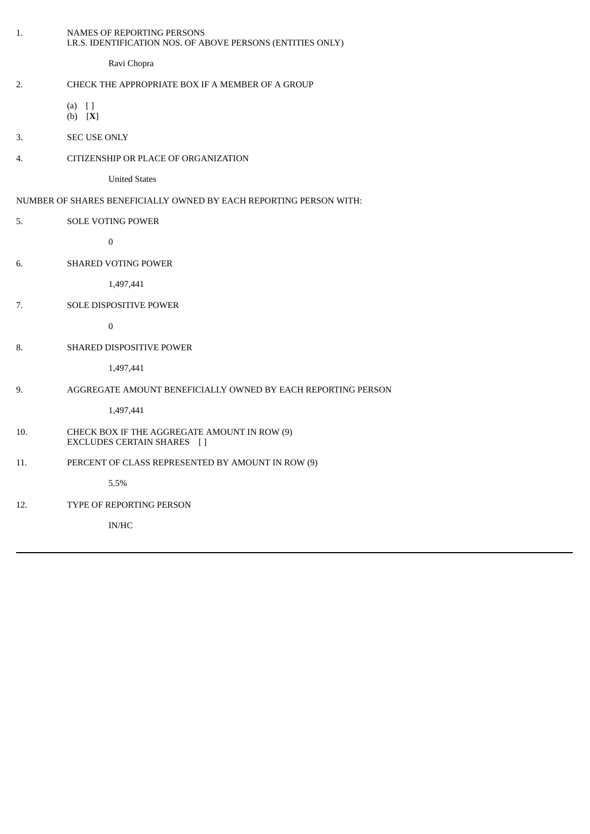| 1.                                                                 | NAMES OF REPORTING PERSONS<br>I.R.S. IDENTIFICATION NOS. OF ABOVE PERSONS (ENTITIES ONLY) |  |  |  |
|--------------------------------------------------------------------|-------------------------------------------------------------------------------------------|--|--|--|
|                                                                    | Ravi Chopra                                                                               |  |  |  |
| 2.                                                                 | CHECK THE APPROPRIATE BOX IF A MEMBER OF A GROUP                                          |  |  |  |
|                                                                    | $(a)$ []<br>(b) [X]                                                                       |  |  |  |
| 3.                                                                 | <b>SEC USE ONLY</b>                                                                       |  |  |  |
| 4.                                                                 | CITIZENSHIP OR PLACE OF ORGANIZATION                                                      |  |  |  |
|                                                                    | <b>United States</b>                                                                      |  |  |  |
| NUMBER OF SHARES BENEFICIALLY OWNED BY EACH REPORTING PERSON WITH: |                                                                                           |  |  |  |
| 5.                                                                 | <b>SOLE VOTING POWER</b>                                                                  |  |  |  |
|                                                                    | $\boldsymbol{0}$                                                                          |  |  |  |
| 6.                                                                 | SHARED VOTING POWER                                                                       |  |  |  |
|                                                                    | 1,497,441                                                                                 |  |  |  |
| 7.                                                                 | SOLE DISPOSITIVE POWER                                                                    |  |  |  |
|                                                                    | $\boldsymbol{0}$                                                                          |  |  |  |
| 8.                                                                 | SHARED DISPOSITIVE POWER                                                                  |  |  |  |
|                                                                    | 1,497,441                                                                                 |  |  |  |
| 9.                                                                 | AGGREGATE AMOUNT BENEFICIALLY OWNED BY EACH REPORTING PERSON                              |  |  |  |
|                                                                    | 1,497,441                                                                                 |  |  |  |
| 10.                                                                | CHECK BOX IF THE AGGREGATE AMOUNT IN ROW (9)<br>EXCLUDES CERTAIN SHARES []                |  |  |  |
| 11.                                                                | PERCENT OF CLASS REPRESENTED BY AMOUNT IN ROW (9)                                         |  |  |  |
|                                                                    | 5.5%                                                                                      |  |  |  |
| 12.                                                                | TYPE OF REPORTING PERSON                                                                  |  |  |  |
|                                                                    | $\mathbf{IN}/\mathbf{HC}$                                                                 |  |  |  |
|                                                                    |                                                                                           |  |  |  |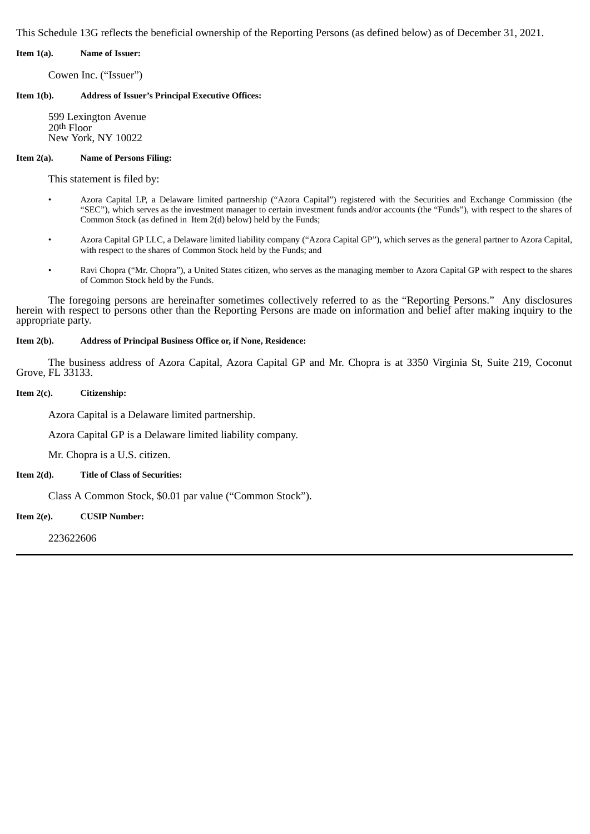This Schedule 13G reflects the beneficial ownership of the Reporting Persons (as defined below) as of December 31, 2021.

**Item 1(a). Name of Issuer:**

Cowen Inc. ("Issuer")

**Item 1(b). Address of Issuer's Principal Executive Offices:**

599 Lexington Avenue 20th Floor New York, NY 10022

### **Item 2(a). Name of Persons Filing:**

This statement is filed by:

- Azora Capital LP, a Delaware limited partnership ("Azora Capital") registered with the Securities and Exchange Commission (the "SEC"), which serves as the investment manager to certain investment funds and/or accounts (the "Funds"), with respect to the shares of Common Stock (as defined in Item 2(d) below) held by the Funds;
- Azora Capital GP LLC, a Delaware limited liability company ("Azora Capital GP"), which serves as the general partner to Azora Capital, with respect to the shares of Common Stock held by the Funds; and
- Ravi Chopra ("Mr. Chopra"), a United States citizen, who serves as the managing member to Azora Capital GP with respect to the shares of Common Stock held by the Funds.

The foregoing persons are hereinafter sometimes collectively referred to as the "Reporting Persons." Any disclosures herein with respect to persons other than the Reporting Persons are made on information and belief after making inquiry to the appropriate party.

## **Item 2(b). Address of Principal Business Office or, if None, Residence:**

The business address of Azora Capital, Azora Capital GP and Mr. Chopra is at 3350 Virginia St, Suite 219, Coconut Grove, FL 33133.

### **Item 2(c). Citizenship:**

Azora Capital is a Delaware limited partnership.

Azora Capital GP is a Delaware limited liability company.

Mr. Chopra is a U.S. citizen.

#### **Item 2(d). Title of Class of Securities:**

Class A Common Stock, \$0.01 par value ("Common Stock").

**Item 2(e). CUSIP Number:**

223622606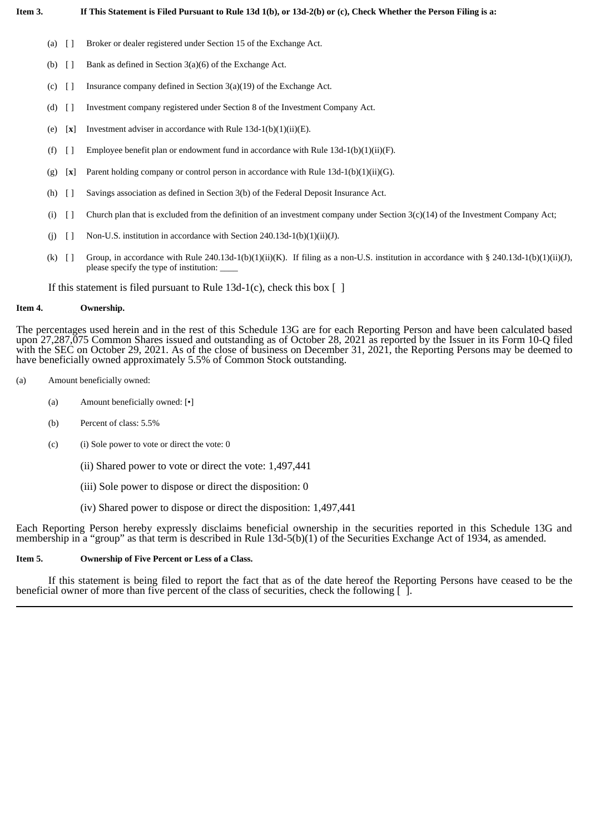- (a) [ ] Broker or dealer registered under Section 15 of the Exchange Act.
- (b)  $[ ]$  Bank as defined in Section 3(a)(6) of the Exchange Act.
- (c)  $[]$  Insurance company defined in Section 3(a)(19) of the Exchange Act.
- (d) [ ] Investment company registered under Section 8 of the Investment Company Act.
- (e) [**x**] Investment adviser in accordance with Rule 13d-1(b)(1)(ii)(E).
- (f)  $[$   $]$  Employee benefit plan or endowment fund in accordance with Rule 13d-1(b)(1)(ii)(F).
- (g) [**x**] Parent holding company or control person in accordance with Rule 13d-1(b)(1)(ii)(G).
- (h) [ ] Savings association as defined in Section 3(b) of the Federal Deposit Insurance Act.
- (i)  $\left[ \ \right]$  Church plan that is excluded from the definition of an investment company under Section 3(c)(14) of the Investment Company Act;
- (i)  $\Box$  Non-U.S. institution in accordance with Section 240.13d-1(b)(1)(ii)(J).
- (k)  $[$  Group, in accordance with Rule 240.13d-1(b)(1)(ii)(K). If filing as a non-U.S. institution in accordance with § 240.13d-1(b)(1)(ii)(J), please specify the type of institution: \_\_\_\_

If this statement is filed pursuant to Rule 13d-1(c), check this box  $\lceil \ \rceil$ 

#### **Item 4. Ownership.**

The percentages used herein and in the rest of this Schedule 13G are for each Reporting Person and have been calculated based upon 27,287,075 Common Shares issued and outstanding as of October 28, 2021 as reported by the Issuer in its Form 10-Q filed with the SEC on October 29, 2021. As of the close of business on December 31, 2021, the Reporting Persons may be deemed to have beneficially owned approximately 5.5% of Common Stock outstanding.

- (a) Amount beneficially owned:
	- (a) Amount beneficially owned: [•]
	- (b) Percent of class: 5.5%
	- (c) (i) Sole power to vote or direct the vote: 0
		- (ii) Shared power to vote or direct the vote: 1,497,441
		- (iii) Sole power to dispose or direct the disposition: 0
		- (iv) Shared power to dispose or direct the disposition: 1,497,441

Each Reporting Person hereby expressly disclaims beneficial ownership in the securities reported in this Schedule 13G and membership in a "group" as that term is described in Rule 13d-5(b)(1) of the Securities Exchange Act of 1934, as amended.

#### **Item 5. Ownership of Five Percent or Less of a Class.**

If this statement is being filed to report the fact that as of the date hereof the Reporting Persons have ceased to be the beneficial owner of more than five percent of the class of securities, check the following  $\lceil \cdot \rceil$ .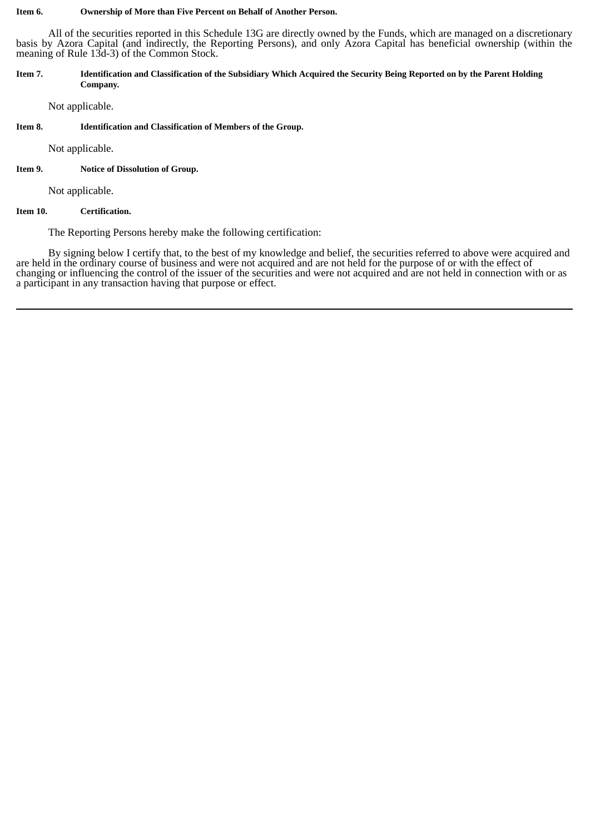#### **Item 6. Ownership of More than Five Percent on Behalf of Another Person.**

All of the securities reported in this Schedule 13G are directly owned by the Funds, which are managed on a discretionary basis by Azora Capital (and indirectly, the Reporting Persons), and only Azora Capital has beneficial ownership (within the meaning of Rule 13d-3) of the Common Stock.

#### Item 7. Identification and Classification of the Subsidiary Which Acquired the Security Being Reported on by the Parent Holding **Company.**

Not applicable.

### **Item 8. Identification and Classification of Members of the Group.**

Not applicable.

### **Item 9. Notice of Dissolution of Group.**

Not applicable.

### **Item 10. Certification.**

The Reporting Persons hereby make the following certification:

By signing below I certify that, to the best of my knowledge and belief, the securities referred to above were acquired and are held in the ordinary course of business and were not acquired and are not held for the purpose of or with the effect of changing or influencing the control of the issuer of the securities and were not acquired and are not held in connection with or as a participant in any transaction having that purpose or effect.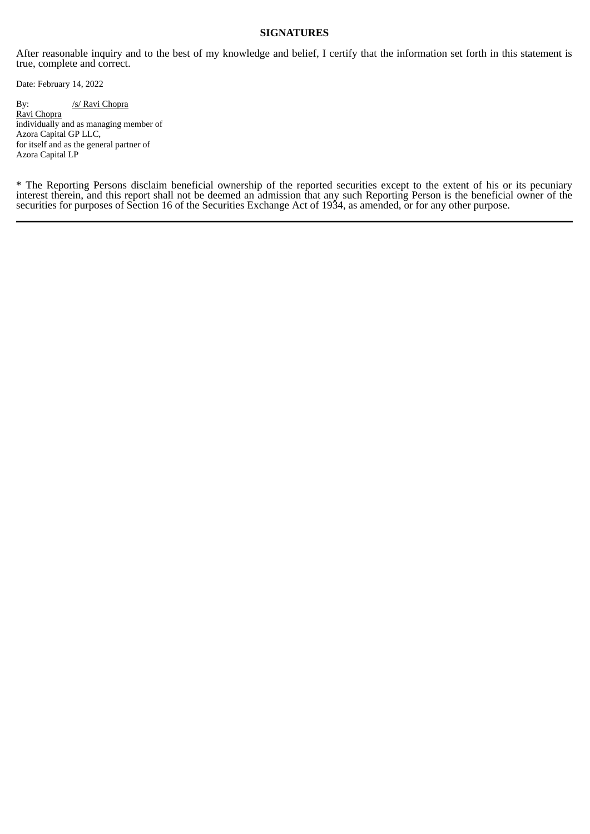## **SIGNATURES**

After reasonable inquiry and to the best of my knowledge and belief, I certify that the information set forth in this statement is true, complete and correct.

Date: February 14, 2022

# By: /s/ Ravi Chopra Ravi Chopra

individually and as managing member of Azora Capital GP LLC, for itself and as the general partner of Azora Capital LP

\* The Reporting Persons disclaim beneficial ownership of the reported securities except to the extent of his or its pecuniary interest therein, and this report shall not be deemed an admission that any such Reporting Person is the beneficial owner of the securities for purposes of Section 16 of the Securities Exchange Act of 1934, as amended, or for any other purpose.